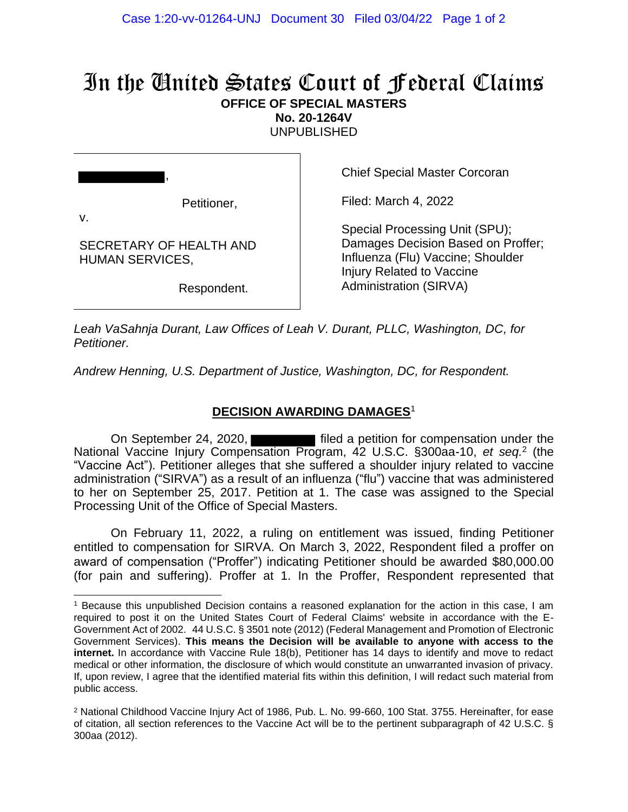## In the United States Court of Federal Claims **OFFICE OF SPECIAL MASTERS**

**No. 20-1264V**

UNPUBLISHED

Petitioner,

Chief Special Master Corcoran

Filed: March 4, 2022

v.

SECRETARY OF HEALTH AND HUMAN SERVICES,

,

Respondent.

Special Processing Unit (SPU); Damages Decision Based on Proffer; Influenza (Flu) Vaccine; Shoulder Injury Related to Vaccine Administration (SIRVA)

*Leah VaSahnja Durant, Law Offices of Leah V. Durant, PLLC, Washington, DC, for Petitioner.*

*Andrew Henning, U.S. Department of Justice, Washington, DC, for Respondent.*

## **DECISION AWARDING DAMAGES**<sup>1</sup>

On September 24, 2020, **Filted a petition for compensation under the** National Vaccine Injury Compensation Program, 42 U.S.C. §300aa-10, *et seq.*<sup>2</sup> (the "Vaccine Act"). Petitioner alleges that she suffered a shoulder injury related to vaccine administration ("SIRVA") as a result of an influenza ("flu") vaccine that was administered to her on September 25, 2017. Petition at 1. The case was assigned to the Special Processing Unit of the Office of Special Masters.

On February 11, 2022, a ruling on entitlement was issued, finding Petitioner entitled to compensation for SIRVA. On March 3, 2022, Respondent filed a proffer on award of compensation ("Proffer") indicating Petitioner should be awarded \$80,000.00 (for pain and suffering). Proffer at 1. In the Proffer, Respondent represented that

<sup>1</sup> Because this unpublished Decision contains a reasoned explanation for the action in this case, I am required to post it on the United States Court of Federal Claims' website in accordance with the E-Government Act of 2002. 44 U.S.C. § 3501 note (2012) (Federal Management and Promotion of Electronic Government Services). **This means the Decision will be available to anyone with access to the internet.** In accordance with Vaccine Rule 18(b), Petitioner has 14 days to identify and move to redact medical or other information, the disclosure of which would constitute an unwarranted invasion of privacy. If, upon review, I agree that the identified material fits within this definition, I will redact such material from public access.

<sup>2</sup> National Childhood Vaccine Injury Act of 1986, Pub. L. No. 99-660, 100 Stat. 3755. Hereinafter, for ease of citation, all section references to the Vaccine Act will be to the pertinent subparagraph of 42 U.S.C. § 300aa (2012).